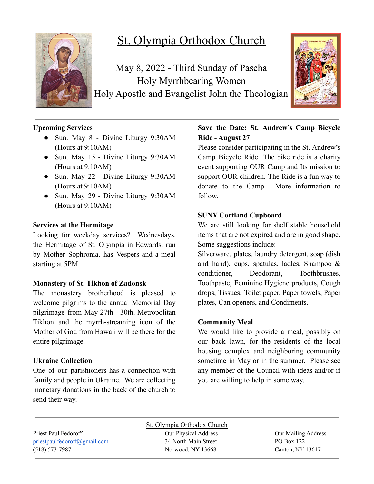

# St. Olympia Orthodox Church

May 8, 2022 - Third Sunday of Pascha Holy Myrrhbearing Women Holy Apostle and Evangelist John the Theologian



# **Upcoming Services**

- Sun. May 8 Divine Liturgy 9:30AM (Hours at 9:10AM)
- Sun. May 15 Divine Liturgy 9:30AM (Hours at 9:10AM)
- Sun. May 22 Divine Liturgy 9:30AM (Hours at 9:10AM)
- Sun. May 29 Divine Liturgy 9:30AM (Hours at 9:10AM)

#### **Services at the Hermitage**

Looking for weekday services? Wednesdays, the Hermitage of St. Olympia in Edwards, run by Mother Sophronia, has Vespers and a meal starting at 5PM.

#### **Monastery of St. Tikhon of Zadonsk**

The monastery brotherhood is pleased to welcome pilgrims to the annual Memorial Day pilgrimage from May 27th - 30th. Metropolitan Tikhon and the myrrh-streaming icon of the Mother of God from Hawaii will be there for the entire pilgrimage.

# **Ukraine Collection**

One of our parishioners has a connection with family and people in Ukraine. We are collecting monetary donations in the back of the church to send their way.

# **Save the Date: St. Andrew's Camp Bicycle Ride - August 27**

Please consider participating in the St. Andrew's Camp Bicycle Ride. The bike ride is a charity event supporting OUR Camp and Its mission to support OUR children. The Ride is a fun way to donate to the Camp. More information to follow.

# **SUNY Cortland Cupboard**

We are still looking for shelf stable household items that are not expired and are in good shape. Some suggestions include:

Silverware, plates, laundry detergent, soap (dish and hand), cups, spatulas, ladles, Shampoo & conditioner, Deodorant, Toothbrushes, Toothpaste, Feminine Hygiene products, Cough drops, Tissues, Toilet paper, Paper towels, Paper plates, Can openers, and Condiments.

# **Community Meal**

We would like to provide a meal, possibly on our back lawn, for the residents of the local housing complex and neighboring community sometime in May or in the summer. Please see any member of the Council with ideas and/or if you are willing to help in some way.

St. Olympia Orthodox Church Priest Paul Fedoroff Our Physical Address Our Mailing Address [priestpaulfedoroff@gmail.com](mailto:priestpaulfedoroff@gmail.com) 34 North Main Street PO Box 122 (518) 573-7987 Norwood, NY 13668 Canton, NY 13617